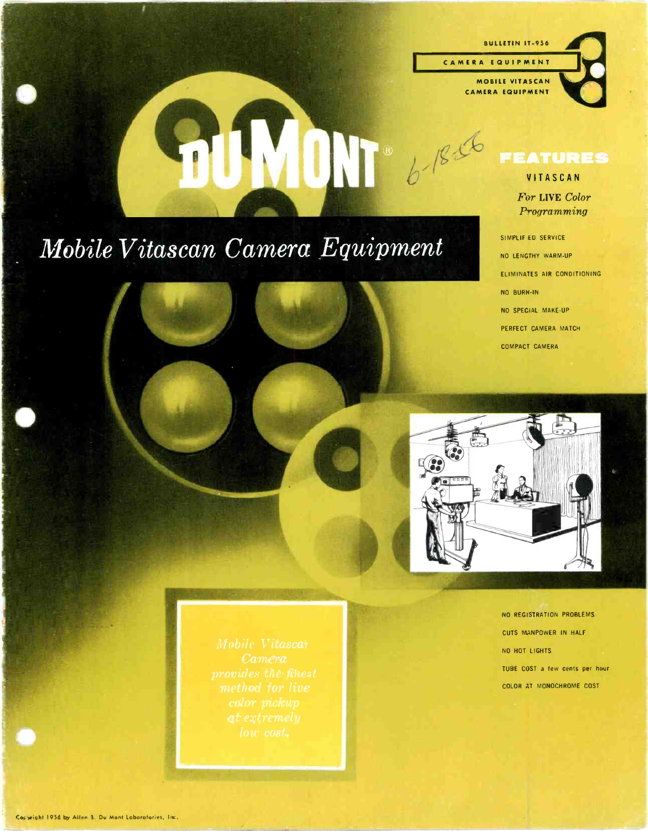BULLETIN IT -956

<sup>C</sup>A M E <sup>R</sup>A E Q U I P M E N <sup>T</sup>

 $\prod_{b}^{n}$ 

MOBILE VITASCAN CAMERA EQUIPMENT



#### VITASCAN

For LIVE Color Programming

ELIMINATES AIR CONDITIONING

## Mobile Vitascan Camera Equipment

NO BURN -IN NO SPECIAL MAKE-UP PERFECT CAMERA MATCH<br>COMPACT CAMERA

SIMPLIF ED SERVICE NO LENGTHY WARM-UP



NO REGISTRATION PROBLEMS CUTS MANPOWER IN HALF NO HOT LIGHTS<br>TUBE COST a few cents per hour COLOR AT MONOCHROME COST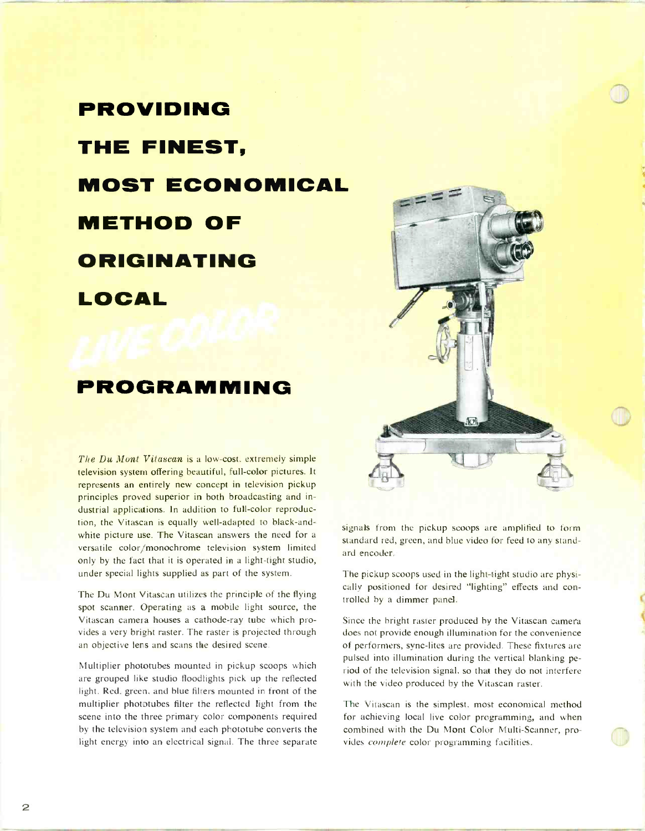# PROVIDING THE FINEST, MOST ECONOMICAL METHOD OF ORIGINATING LOCAL

## PROGRAMMING

The Du Mont Vitascan is a low-cost, extremely simple television system offering beautiful, full-color pictures. It represents an entirely new concept in television pickup principles proved superior in both broadcasting and industrial applications. In addition to full-color reproduction, the Vitascan is equally well-adapted to black-andwhite picture use. The Vitascan answers the need for a versatile color /monochrome television system limited only by the fact that it is operated in a light -tight studio, under special lights supplied as part of the system.

The Du Mont Vitascan utilizes the principle of the flying spot scanner. Operating as a mobile light source, the Vitascan camera houses a cathode -ray tube which provides a very bright raster. The raster is projected through an objective lens and scans the desired scene.

Multiplier phototubes mounted in pickup scoops which are grouped like studio floodlights pick up the reflected light. Red, green, and blue filters mounted in front of the multiplier phototubes filter the reflected light from the scene into the three primary color components required by the television system and each phototube converts the light energy into an electrical signal. The three separate



signals from the pickup scoops are amplified to form standard red, green, and blue video for feed to any standard encoder.

The pickup scoops used in the light-tight studio are physically positioned for desired "lighting" effects and con- trolled by a dimmer panel.

Since the bright raster produced by the Vitascan camera does not provide enough illumination for the convenience of performers, sync -lites are provided. These fixtures are pulsed into illumination during the vertical blanking period of the television signal, so that they do not interfere with the video produced by the Vitascan raster.

The Vitascan is the simplest, most economical method for achieving local live color programming, and when combined with the Du Mont Color Multi-Scanner, provides complete color programming facilities.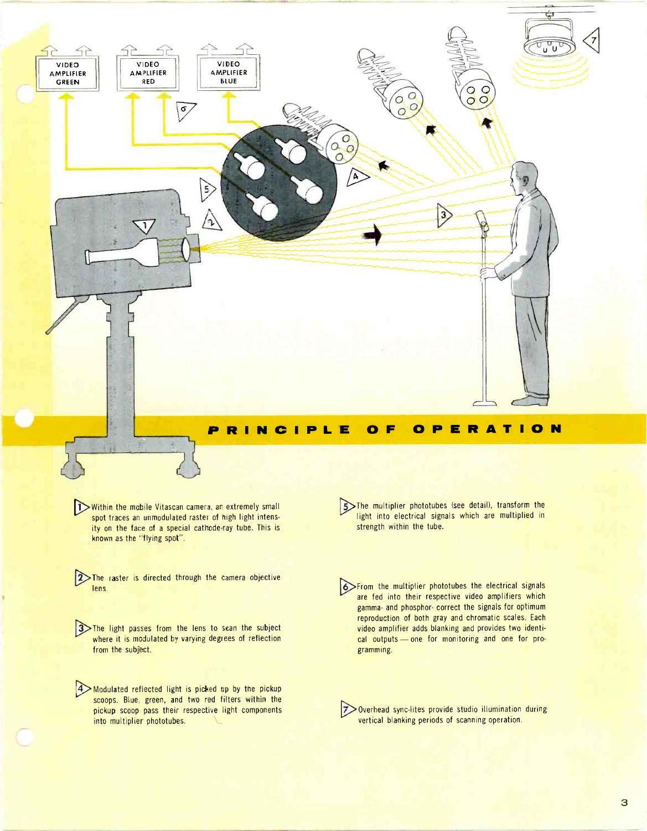

#### P R I N C I P L E O F O P E R A T I O N

Within the mobile Vitascan camera, an extremely small spot traces an unmodulated raster of high light intensity on the face of a special cathode-ray tube. This is known as the "flying spot".

 $L_{\rm L}$ 

2>The raster is directed through the camera objective lens.

**3**>The light passes from the lens to scan the subject where it is modulated by varying degrees of reflection from the subject.

Modulated reflected light is picked up by the pickup scoops. Blue, green, and two red filters within the pickup scoop pass their respective light components into multiplier phototubes.

The multiplier phototubes (see detail), transform the light into electrical signals which are multiplied in strength within the tube.

6>From the multiplier phototubes the electrical signals are fed into their respective video amplifiers which gamma- and phosphor- correct the signals for optimum reproduction of both gray and chromatic scales. Each video amplifier adds blanking and provides two identical outputs - one for monitoring and one for programming.

7>Overhead sync-lites provide studio illumination during vertical blanking periods of scanning operation.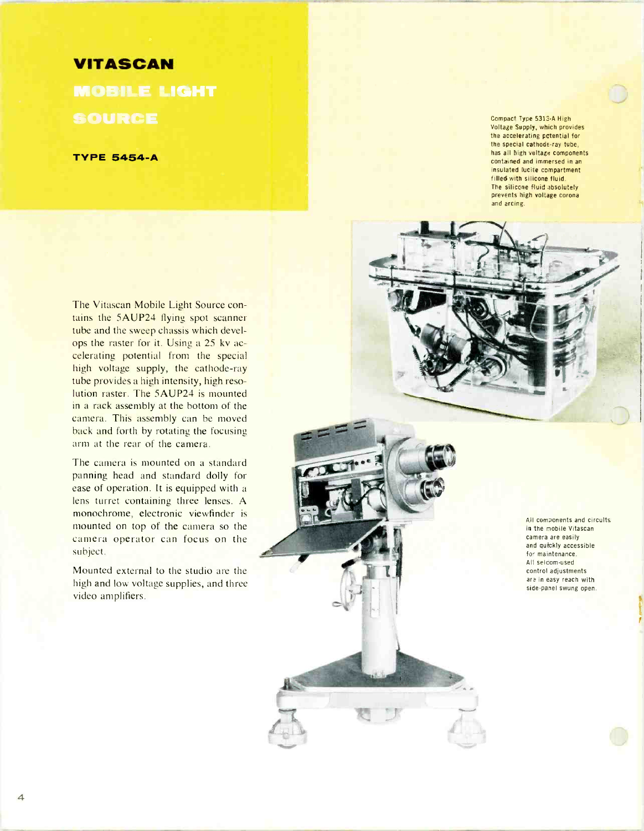#### VITASCAN

**MOBILE LIGHT** SOURCE

**TYPE 5454-A** 

Compact Type 5313 -A High Voltage Supply, which provides the accelerating potential for the special cathode -ray tube, has all high voltage components contained and immersed in an insulated lucite compartment filled with silicone fluid. The silicone fluid absolutely prevents high voltage corona and arcing.



The camera is mounted on a standard panning head and standard dolly for ease of operation. It is equipped with a lens turret containing three lenses. A monochrome, electronic viewfinder is mounted on top of the camera so the camera operator can focus on the subject.

Mounted external to the studio are the high and low voltage supplies, and three video amplifiers.



All components and circuits in the mobile Vitascan camera are easily and quickly accessible for maintenance.<br>All selcom-used control adjustments are in easy reach with side -panel swung open.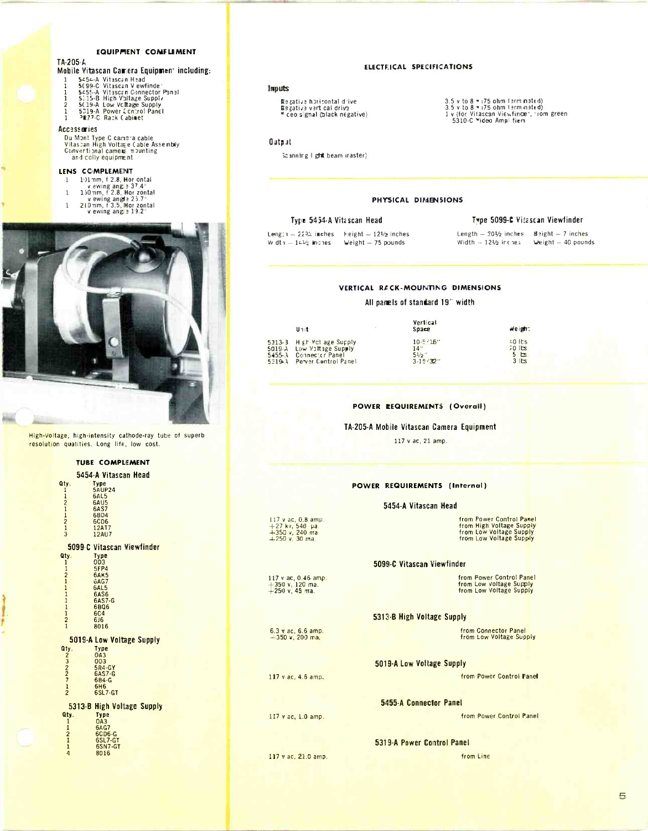#### **EQUIPMENT CONFLIMENT**

#### TA-205-A Mobile Vitascan Camera Equipment including:

- Contracted and the Second Party<br>Second Vitascan Vewfinder<br>Second Vitascan Connector Panal<br>Second Vitascan Connector Panal<br>Second Vitage Supply<br>SD19-A Power Centrol Panel<br>PR77-C Rack Cabinet  $\frac{1}{1}$
- $\frac{2}{1}$
- 

#### **Accessories**

Du Mont Type C camera cable<br>Vitascan High Voltage Cable Assembly<br>Convertional came⊯ mounting<br>and colly equipment

#### LENS COMPLEMENT

- 1 191 nm, f 2.8, Hor ontal<br>v ewing ang 3 37.4°<br>1 150 nm, f 2.8, Hor zontal
- 
- v ewing angle  $25.7^\circ$ <br>210 nm, f 3.5, Hor zontal<br>v ewing angle  $19.2^\circ$  $\mathbf 1$
- 



High-Voltage, high-intensity cathode-ray tube of superb resolution qualities. Long life, low cost.

#### **TUBE COMPLEMENT**

|                                           | 5454-A Vitascan Head                      |
|-------------------------------------------|-------------------------------------------|
| Qtv.<br>1                                 | Type<br><b>5AUP24</b>                     |
|                                           | 6AL5                                      |
| $\frac{1}{2}$ $\frac{1}{2}$ $\frac{1}{3}$ | 6AU5<br><b>6AS7</b>                       |
|                                           | <b>6BD4</b>                               |
|                                           | 6CD6<br>12AT7                             |
|                                           | 12AU7                                     |
|                                           | <b>5099 C Vitascan Viewfinder</b>         |
| Qty.                                      | Type<br>0D3                               |
| $\mathbf{1}$<br>$\mathbf{1}$              | <b>5FP4</b>                               |
| $\frac{2}{1}$                             | 6AK5<br>6AG7                              |
| $\mathbf{1}$                              | 6AL5                                      |
| $\mathbf{1}$<br>$\mathbf{1}$              | <b>6AS6</b><br>6AS7-G                     |
|                                           | 6806                                      |
| $\frac{1}{2}$                             | <b>6C4</b><br>616                         |
|                                           | 8016                                      |
|                                           | 5019 A Low Voltage Supply                 |
| Qtv.                                      | Type                                      |
| 232712                                    | <b>OA3</b><br>003                         |
|                                           | 5R4-GY<br>6AS7-G                          |
|                                           | 6B4-G                                     |
|                                           | <b>6H6</b><br>6SL7-GT                     |
|                                           |                                           |
| Qty.                                      | 5313-B High Voltage Supply<br><b>Type</b> |
| $\mathbf{1}$                              | <b>OA3</b>                                |
| 1                                         | <b>6AG7</b><br>6CD6-G                     |
| $\frac{2}{1}$                             | 6SL7-GT                                   |
| $\overline{a}$                            | 6SN7-GT<br>8016                           |
|                                           |                                           |
|                                           |                                           |
|                                           |                                           |

#### ELECTRICAL SPECIFICATIONS

#### Imputs

Begative horizontal drive<br>Begative vert cal drive<br>■ ceo signal (black negative)

3.5 v to 8  $\pi$  (75 ohm term nated)<br>3.5 v to 8  $\pi$  (75 ohm term nated)<br>1 v (for Vitascan Viewfincer, rom green<br>5310-C Mideo Ampl fien

#### Output

Scanning I ght beam iraster)

#### PHYSICAL DIMENSIONS

#### Type 5454-A Vitascan Head

Length - 2234 inches - Height - 124/2 inches<br>Width - 144/2 inches - Weight - 75 pounds

#### Type 5099-C Vitascan Viewfinder

Length - 201/2 inches - Meight - 7 inches<br>Width - 121/2 inches - Weight - 40 pounds

#### VERTICAL RECK-MOUNTING DIMENSIONS

#### All pamels of standard 19" width

| Unit                       | Vertical<br>Space | Weight:        |
|----------------------------|-------------------|----------------|
| 5313-3 H gr Vol age Supply | $10 - 5 / 16$     | $-0$ Its       |
| SO19-A Law Voltage Supply  | 14"               | $70$ lbs.      |
| 5455-3 Connector Panel     | 51/2              | 5 <sub>5</sub> |
| 5319.3 Pover Control Panel | $3 - 15/32$       | 3 5            |

#### POWER **EEQUIREMENTS** (Overall)

#### TA-205-A Mobile Vitascan Camera Equipment

117 v ac, 21 amp.

#### **POWER REQUIREMENTS (Internal)**

#### 5454-A Vitascan Head

from Power Control Panel from High Voltage Supply<br>from Low Voltage Supply<br>from Low Voltage Supply

#### 5099-C Vitascan Viewfinder

|  | rom Fower Control Panel |  |
|--|-------------------------|--|
|  | rom Low Voltage Supply  |  |
|  | rom Low Voltage Supply  |  |

#### 5313-B High Voltage Supply

from Connector Panel<br>from Low Voltage Supply

#### 5019-A Low Voltage Supply

from Power Control Panel

5455-A Connector Panel

from Power Control Panel

#### 5319-A Power Control Panel

117 v ac, 21.0 amp.

117 v ac, 0.8 amp.<br>+27 kv, 540 pa.<br>+350 v, 240 ma.<br>+250 v, 30 ma.

 $117$  v ac, 0.46 amp.<br> $+350$  v, 120 ma.<br> $+250$  v, 45 ma.

 $6.3$  v ac, 6.6 amp<br>+350 v, 200 ma.

117 v ac, 4.6 amp.

117 v ac, 1.0 amp.

from Line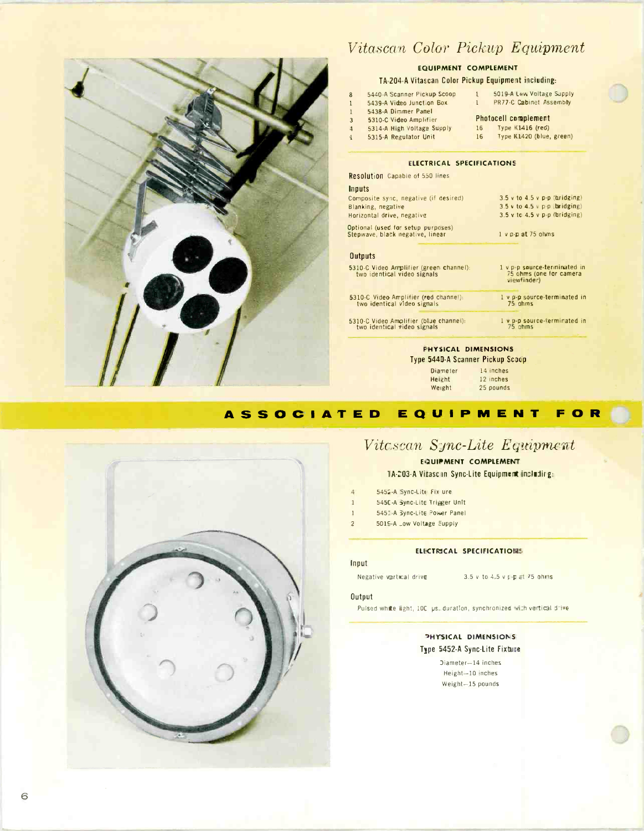

### Vitascan Color Pickup Equipment

#### EQUIPMENT COMPLEMENT

#### TA -204 -A Vitascan Color Pickup Equipment including:

| Ŗ                       | 5440-A Scanner Pickup Scoop | 5019-A Law Voltage Supply<br>1        |
|-------------------------|-----------------------------|---------------------------------------|
|                         | 5439-A Video Junction Box   | PR77-C Cabinet Assembly<br>$\sqrt{1}$ |
|                         | 5438-A Dimmer Panel         |                                       |
|                         | 5310-C Video Amplifier      | <b>Photocell complement</b>           |
| $\overline{\mathbf{1}}$ | 5314-A High Voltage Supply  | Type K1416 (red)<br>16                |
|                         | 5315-A Regulator linit      | Type K1420 (blue, green)<br>16        |

#### ELECTRICAL SPECIFICATIONS

| Resolution Capable of 550 lines                                        |                                                                        |
|------------------------------------------------------------------------|------------------------------------------------------------------------|
| Inputs                                                                 |                                                                        |
| Composite sync. negative (if desired)                                  | $3.5$ v to $4.5$ v p-p (bridging)                                      |
| Blanking, negative                                                     | 3.5 v to 4.5 v $p \cdot p$ bridging)                                   |
| Horizontal drive, negative                                             | $3.5$ v to $4.5$ v $p$ -p (bridging)                                   |
| Optional (used for setup purposes)                                     |                                                                        |
| Stepwave, black negative, linear                                       | $1$ v $p-p$ at 75 ohms                                                 |
|                                                                        |                                                                        |
| <b>Outputs</b>                                                         |                                                                        |
| 5310-C Video Amplifier (green channel):<br>two identical video signals | 1 v p-p source-terminated in<br>75 ohms (one for camera<br>viewfinder) |
|                                                                        |                                                                        |
| 5310-C Video Amplifier (red channel):<br>two identical video signals   | 1 v p-p source-terminated in<br>75 ghms                                |
| 5310-C Video Amplifier (blue channel):<br>two identical video signals  | 1 v p-p source-ferminated in<br>75 othms                               |

#### PHYSICAL DIMENSIONS

Type 5440 -A Scanner Pickup Scoop

| 14 inches |  |
|-----------|--|
| 12 inches |  |
| 25 pounds |  |
|           |  |

#### A S S O C I A T E D E Q U I P M E N T F O R



#### Vitcscan Sync-Lite Equipment

EQUIPMENT COMPLEMENT 1A-203-A Vitaschn Sync-Lite Equipment including:

- 4 5452-A Sync-Lite Fix ure
- 1 545C-A Sync-Lite Trigger Unit
- 1 5451-A Sync-Lite Power Panel
- 2 5015 A \_ow Voltage Supply

#### ELECTRICAL SPECIFICATIONS

#### Input

#### Negative vertical drive  $3.5$  v to  $4.5$  v  $\frac{1}{2}$  et 75 shris

#### **Output**

Pulsed while light, 100 ps. duration, synchronized with vertical drive

#### **PHYSICAL DIMENSIONS** Type 5452-A Sync-Lite Fixture

)iameter -14 inches Height -10 inches Weight -I5 pounds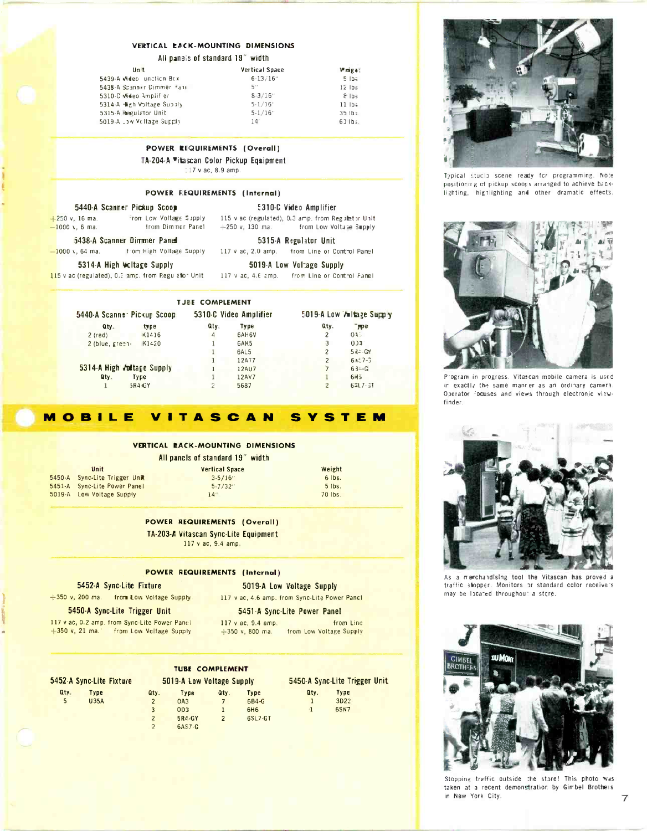#### VERTICAL RACK-MOUNTING DIMENSIONS

All panels of standard 19" width

| Unit                        | Vertical Space | Weiget:                   |
|-----------------------------|----------------|---------------------------|
| 5439-A Mileo unction Box    | $6 - 13 / 16$  | 5 lb3                     |
| 5438-A Scanner Dimmer Panel | $5$ "          | $12$ lbs                  |
| 5310-C video Amplif er      | $8 - 3/16$     | $8$ Ibs                   |
| 5314-A figh Voltage Supply  | $5-1/16$       | $11$ lbs                  |
| 5315-A Regulator Unit       | $5 - 1/16$     | $35$ $1b$ $\frac{1}{2}$ . |
| 5019-A Low Voltage Supply   | 14'            | $63$ $16$ $\frac{1}{2}$ . |

 $+250$  v, 130 ma.

#### POWER RIQUIREMENTS (Overall)

TA-204-A "itascan Color Pickup Equipment

117 v ac, 8.9 amp.

#### POWER F.EQUIREMENTS (Internal)

#### 5440-A Scanner Pickup Scoop

From Low Voltage Supply  $+250$  v, 16 ma.  $-1000$  \, 6 ma. from Diminer Panel

5438-A Scanner Dimmer Panel from High Voltage Supply  $-1000$  v, 64 ma.

5315-A Regulator Unit 117 v ac, 2.0 amp. from Line or Control Fanel

5019-A Low Voltage Supply

**E310-C Video Amplifier** 

115 v ac (regulated), 0.3 amp. from Regulator Unit

from Low Voltage Supply

5314-A High Weltage Supply 115 v ac (regulated), 0.5 amp. from Regulation Unit

117 v ac, 4.6 amp. from Line or Control Famel

| 5440-A Scanne Pickup Scoop |                  |      | 5310-C Video Amplifier |                | 5019-A Low Voltage Supply |
|----------------------------|------------------|------|------------------------|----------------|---------------------------|
| Qty.                       | type             | aty. | Type                   | Qty.           | <b>PPE</b>                |
| $2$ (red)                  | $\triangle 1216$ | 4    | 6AH6V                  |                | 035                       |
| $2$ (blue, green           | K1420            |      | 6AK5                   | 3              | 0.33                      |
|                            |                  |      | 6AL5                   | 2              | $54 - GY$                 |
|                            |                  |      | 12AT7                  |                | $6.157 - 3$               |
| 5314-A High Jultage Supply |                  |      | 12AU7                  |                | $63 - G$                  |
| Qty.<br>Type               |                  |      | 12AV7                  |                | 6H <sub>5</sub>           |
| 5R44GY                     |                  |      | 5687                   | $\overline{2}$ | $6 - 7 - 37$              |

#### MOBILE **VITASCAN** YST E M e

#### VERTICAL RACK-MOUNTING DIMENSIONS

All panels of standard 19" width

Unit 5450-A Sync-Lite Trigger line 5451-A Sync-Lite Power Panel 5019-A Low Voltage Supply

**Vertical Space**  $3 - 5/16''$  $5 - 7/32"$  $14'$ 

Weight  $6$  lbs.  $5$  lbs. 70 lbs.

#### **POWER REQUIREMENTS (Overall)**

TA-203-A Vitascan Sync-Lite Equipment 117 v ac, 9.4 amp.

#### **POWER REQUIREMENTS (Internal)**

#### 5452-A Sync-Lite Fixture

+350 v, 200 ma. from Low Voltage Supply

117 v ac, 4.6 amp. from Sync-Lite Power Panel

#### 5450-A Sync-Lite Trigger Unit

117 v ac, 0.2 amp. from Sync-Lite Power Panel  $+350$  v, 21 ma. from Low Veltage Supply

5451-A Sync-Lite Power Panel

5019-A Low Voltage Supply

117 v ac, 9.4 amp. from Line  $+350$  v, 800 ma. from Low Voltage Supply

#### **TUBE COMPLEMENT**

|      | 5452-A Sync-Lite Fixture |      | 5019-A Low Voltage Supply |                |            | 5450-A Sync-Lite Trigger Unit |             |  |
|------|--------------------------|------|---------------------------|----------------|------------|-------------------------------|-------------|--|
| Qty. | Type                     | Qty. | Type                      | Qtv.           | Type       | Qty.                          | Type        |  |
| 5    | <b>U35A</b>              |      | OA <sub>3</sub>           |                | $6B4-G$    |                               | 3D22        |  |
|      |                          | 3    | 0 <sub>0</sub>            |                | <b>6H6</b> | -1                            | <b>6SN7</b> |  |
|      |                          |      | 5R4-GY                    | $\overline{2}$ | 6SL7-GT    |                               |             |  |
|      |                          |      | 6AS7-G                    |                |            |                               |             |  |
|      |                          |      |                           |                |            |                               |             |  |

Typical studio scene ready for programming. Note

positioning of pickup scoots arranged to achieve backlighting, highlighting and other dramatic effects.



Program in progress. Vitascan mobile camera is used in exactly the same manner as an ordinary camera. Operator focuses and views through electronic viewfinder.



As a merchandlsing tool the Vitascan has proved a traffic stopper. Monitors or standard color receive's may be located throughout a store.



Stopping traffic outside the store! This photo was taken at a recent demonstration by Gimbel Brothers in New York City.